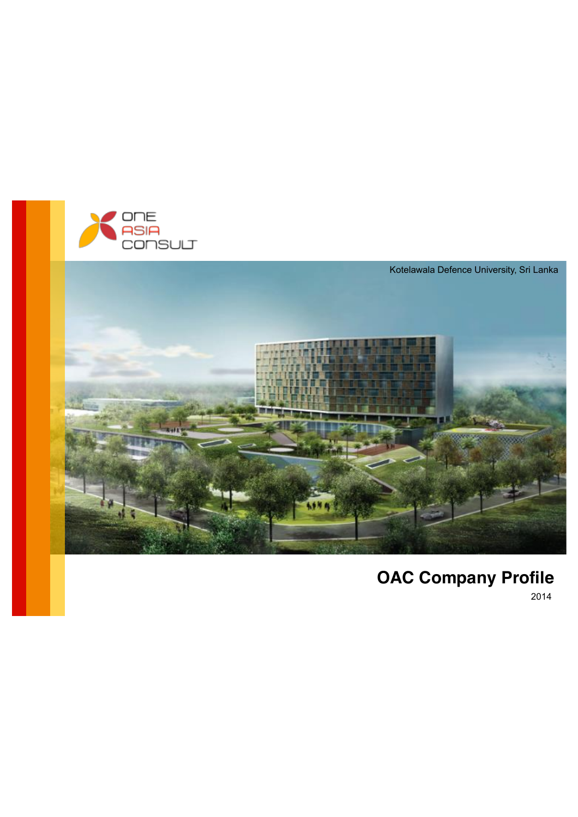



**OAC Company Profile** 2014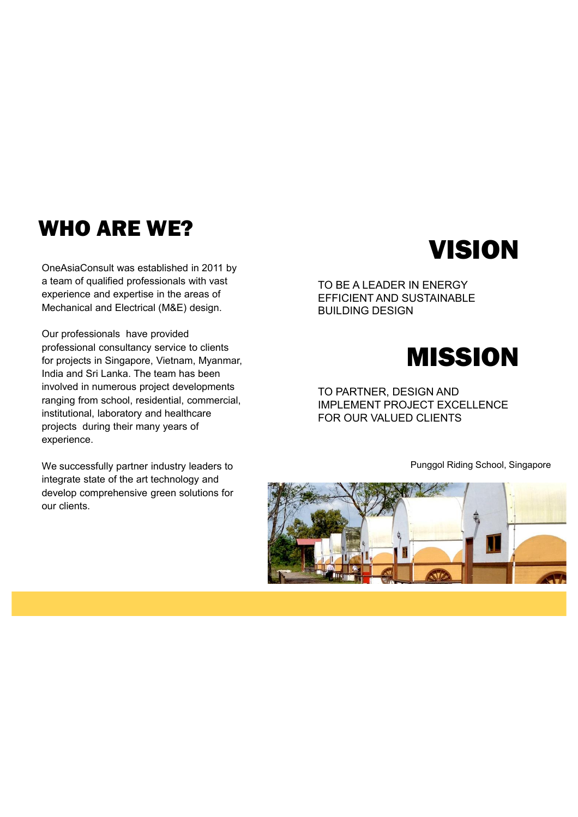## WHO ARE WE?

OneAsiaConsult was established in 2011 by a team of qualified professionals with vast experience and expertise in the areas of Mechanical and Electrical (M&E) design.

Our professionals have provided professional consultancy service to clients for projects in Singapore, Vietnam, Myanmar, India and Sri Lanka. The team has been involved in numerous project developments ranging from school, residential, commercial, institutional, laboratory and healthcare projects during their many years of experience.

We successfully partner industry leaders to integrate state of the art technology and develop comprehensive green solutions for our clients.



TO BE A LEADER IN ENERGY EFFICIENT AND SUSTAINABLE BUILDING DESIGN



TO PARTNER, DESIGN AND IMPLEMENT PROJECT EXCELLENCE FOR OUR VALUED CLIENTS

Punggol Riding School, Singapore

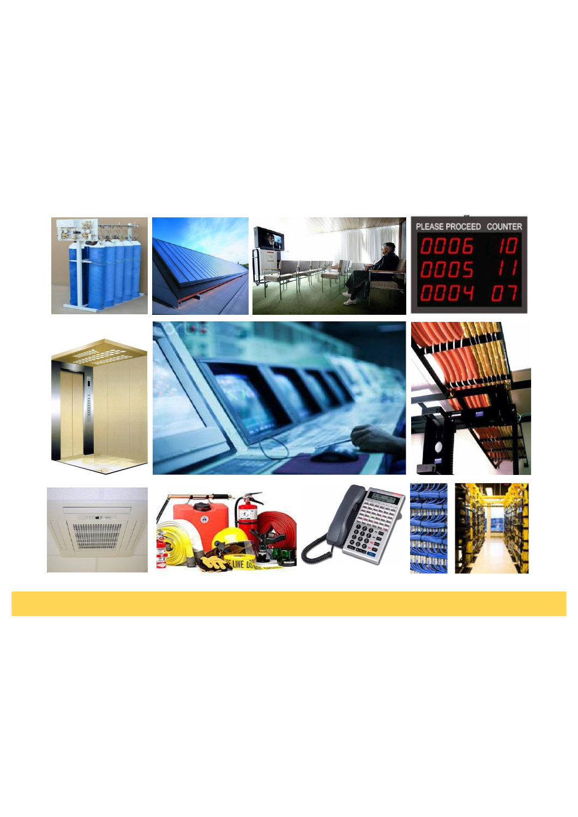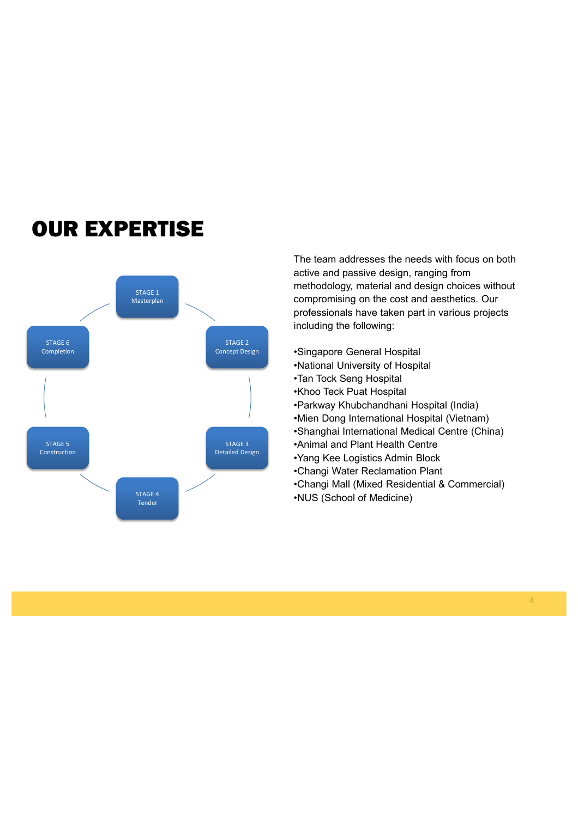## OUR EXPERTISE



The team addresses the needs with focus on both active and passive design, ranging from methodology, material and design choices without compromising on the cost and aesthetics. Our professionals have taken part in various projects including the following:

•Singapore General Hospital •National University of Hospital •Tan Tock Seng Hospital •Khoo Teck Puat Hospital •Parkway Khubchandhani Hospital (India) •Mien Dong International Hospital (Vietnam) •Shanghai International Medical Centre (China) •Animal and Plant Health Centre •Yang Kee Logistics Admin Block •Changi Water Reclamation Plant •Changi Mall (Mixed Residential & Commercial) •NUS (School of Medicine)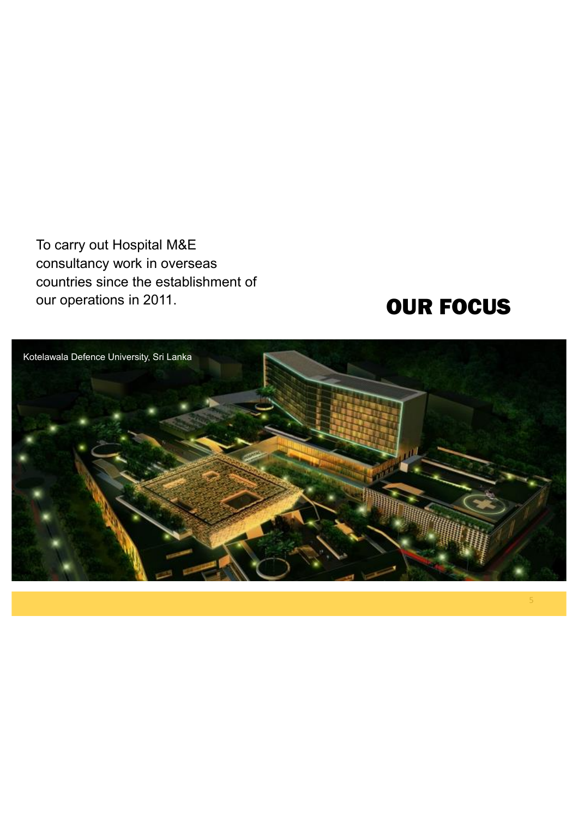To carry out Hospital M&E consultancy work in overseas countries since the establishment of our operations in 2011.<br> **OUR FOCUS** 

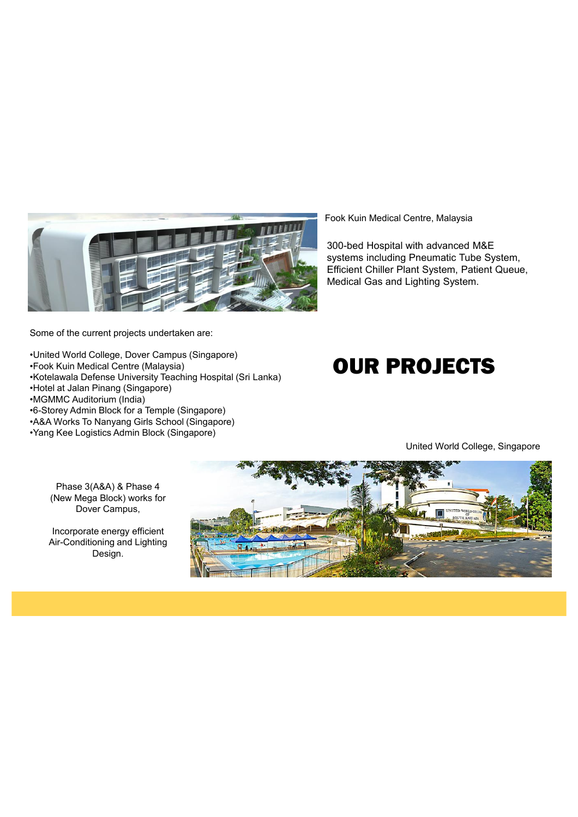

Some of the current projects undertaken are:

•United World College, Dover Campus (Singapore)

- •Fook Kuin Medical Centre (Malaysia)
- •Kotelawala Defense University Teaching Hospital (Sri Lanka)
- •Hotel at Jalan Pinang (Singapore)
- •MGMMC Auditorium (India)
- •6-Storey Admin Block for a Temple (Singapore)
- •A&A Works To Nanyang Girls School (Singapore) •Yang Kee Logistics Admin Block (Singapore)

### Fook Kuin Medical Centre, Malaysia

300-bed Hospital with advanced M&E systems including Pneumatic Tube System, Efficient Chiller Plant System, Patient Queue, Medical Gas and Lighting System.

### OUR PROJECTS

### United World College, Singapore



Incorporate energy efficient Air-Conditioning and Lighting Design.

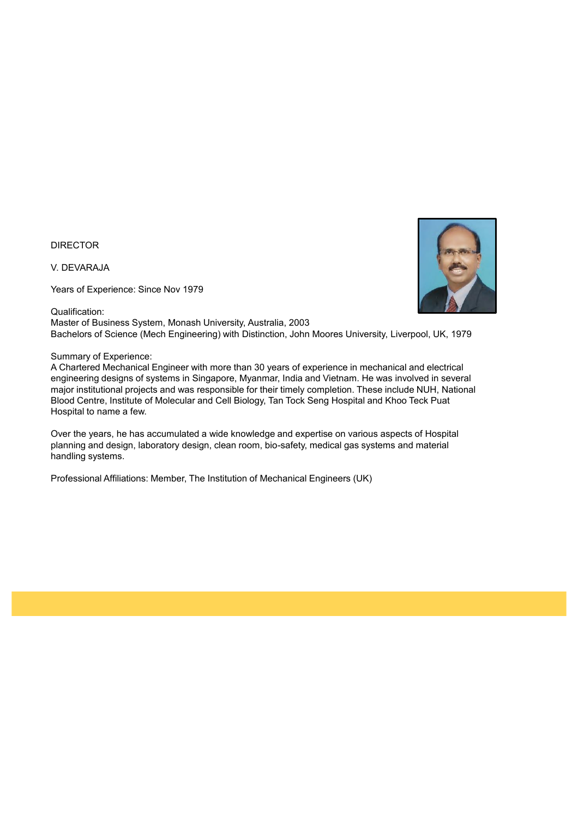DIRECTOR

V. DEVARAJA

Years of Experience: Since Nov 1979



Qualification:

Master of Business System, Monash University, Australia, 2003 Bachelors of Science (Mech Engineering) with Distinction, John Moores University, Liverpool, UK, 1979

#### Summary of Experience:

A Chartered Mechanical Engineer with more than 30 years of experience in mechanical and electrical engineering designs of systems in Singapore, Myanmar, India and Vietnam. He was involved in several major institutional projects and was responsible for their timely completion. These include NUH, National Blood Centre, Institute of Molecular and Cell Biology, Tan Tock Seng Hospital and Khoo Teck Puat Hospital to name a few.

Over the years, he has accumulated a wide knowledge and expertise on various aspects of Hospital planning and design, laboratory design, clean room, bio-safety, medical gas systems and material handling systems.

Professional Affiliations: Member, The Institution of Mechanical Engineers (UK)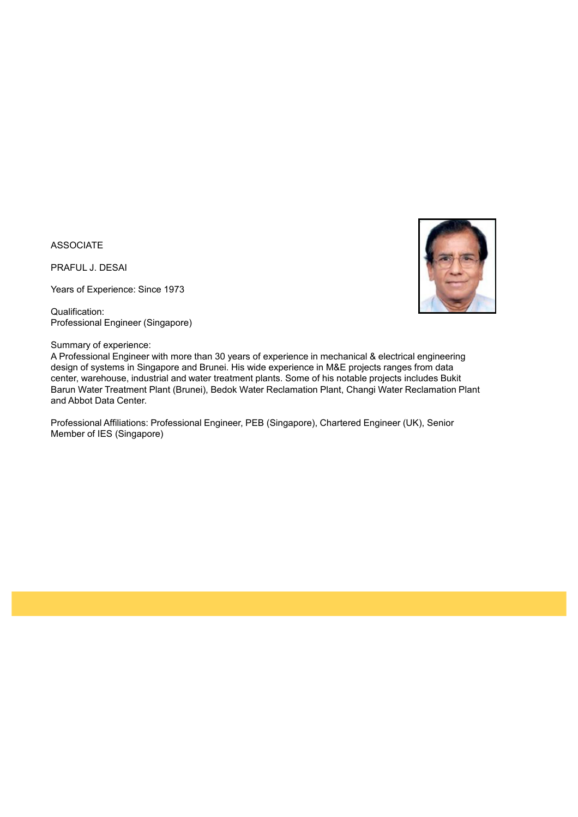ASSOCIATE

PRAFUL J. DESAI

Years of Experience: Since 1973

Qualification: Professional Engineer (Singapore)



A Professional Engineer with more than 30 years of experience in mechanical & electrical engineering design of systems in Singapore and Brunei. His wide experience in M&E projects ranges from data center, warehouse, industrial and water treatment plants. Some of his notable projects includes Bukit Barun Water Treatment Plant (Brunei), Bedok Water Reclamation Plant, Changi Water Reclamation Plant and Abbot Data Center.

Professional Affiliations: Professional Engineer, PEB (Singapore), Chartered Engineer (UK), Senior Member of IES (Singapore)

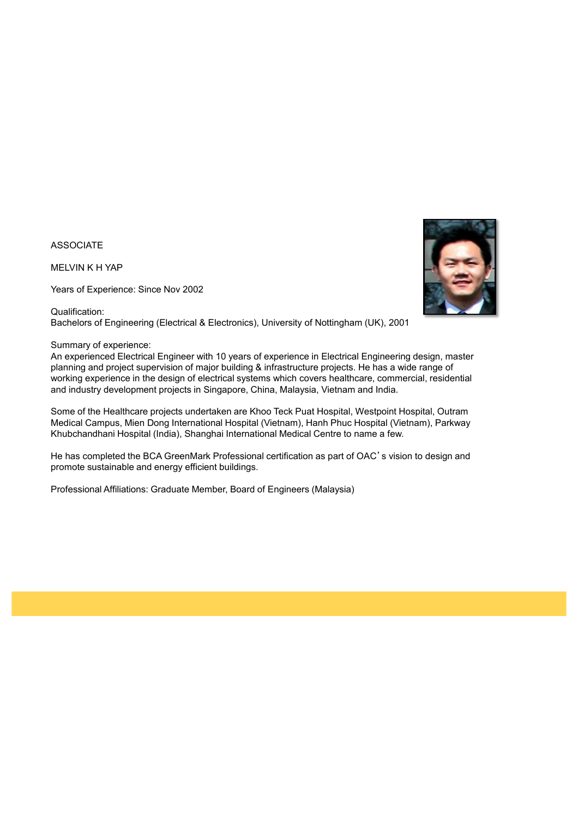ASSOCIATE

MELVIN K H YAP

Years of Experience: Since Nov 2002



Qualification: Bachelors of Engineering (Electrical & Electronics), University of Nottingham (UK), 2001

#### Summary of experience:

An experienced Electrical Engineer with 10 years of experience in Electrical Engineering design, master planning and project supervision of major building & infrastructure projects. He has a wide range of working experience in the design of electrical systems which covers healthcare, commercial, residential and industry development projects in Singapore, China, Malaysia, Vietnam and India.

Some of the Healthcare projects undertaken are Khoo Teck Puat Hospital, Westpoint Hospital, Outram Medical Campus, Mien Dong International Hospital (Vietnam), Hanh Phuc Hospital (Vietnam), Parkway Khubchandhani Hospital (India), Shanghai International Medical Centre to name a few.

He has completed the BCA GreenMark Professional certification as part of OAC's vision to design and promote sustainable and energy efficient buildings.

Professional Affiliations: Graduate Member, Board of Engineers (Malaysia)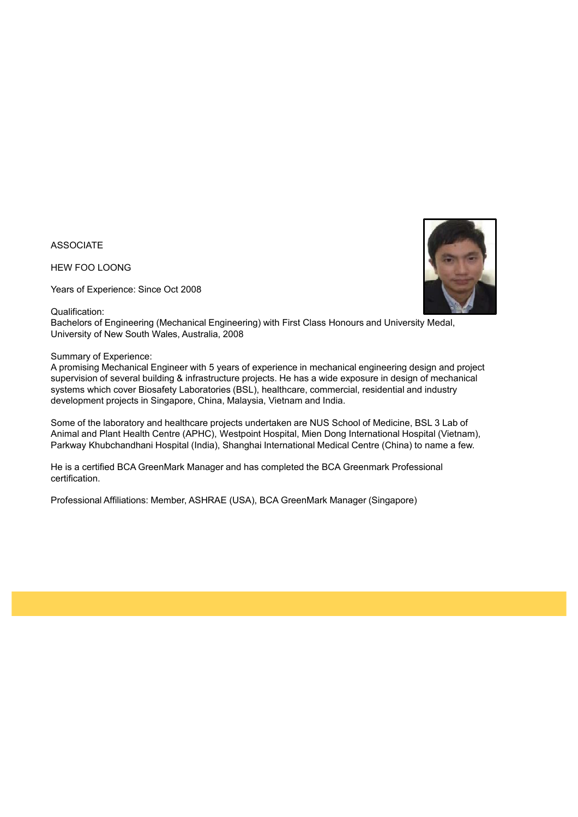ASSOCIATE

HEW FOO LOONG

Years of Experience: Since Oct 2008

Qualification:



Bachelors of Engineering (Mechanical Engineering) with First Class Honours and University Medal, University of New South Wales, Australia, 2008

#### Summary of Experience:

A promising Mechanical Engineer with 5 years of experience in mechanical engineering design and project supervision of several building & infrastructure projects. He has a wide exposure in design of mechanical systems which cover Biosafety Laboratories (BSL), healthcare, commercial, residential and industry development projects in Singapore, China, Malaysia, Vietnam and India.

Some of the laboratory and healthcare projects undertaken are NUS School of Medicine, BSL 3 Lab of Animal and Plant Health Centre (APHC), Westpoint Hospital, Mien Dong International Hospital (Vietnam), Parkway Khubchandhani Hospital (India), Shanghai International Medical Centre (China) to name a few.

He is a certified BCA GreenMark Manager and has completed the BCA Greenmark Professional certification.

Professional Affiliations: Member, ASHRAE (USA), BCA GreenMark Manager (Singapore)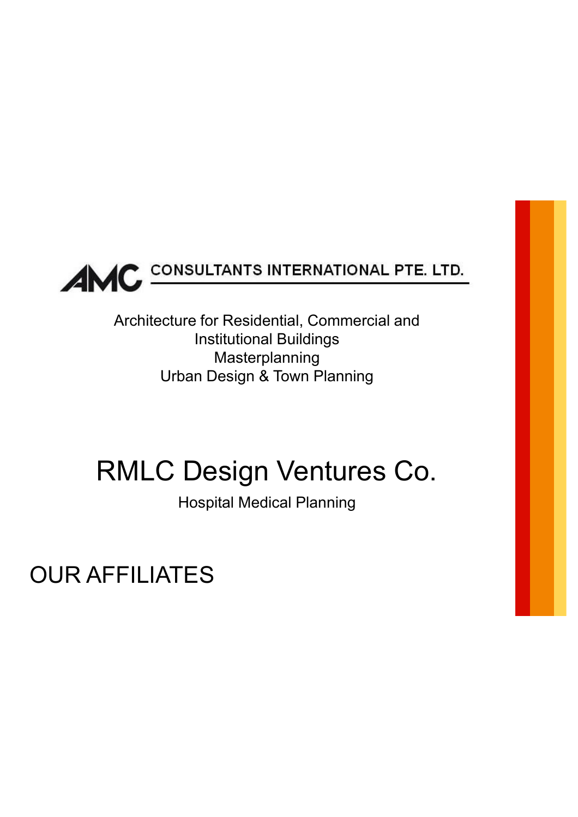

Architecture for Residential, Commercial and Institutional Buildings Masterplanning Urban Design & Town Planning

# RMLC Design Ventures Co.

Hospital Medical Planning

OUR AFFILIATES